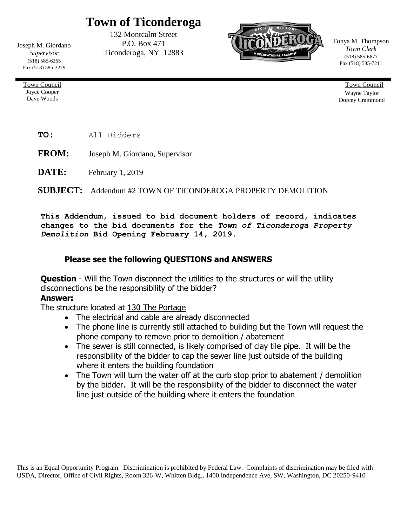## **Town of Ticonderoga**

Joseph M. Giordano *Supervisor* (518) 585-6265 Fax (518) 585-3279

> Town Council Joyce Cooper Dave Woods

132 Montcalm Street P.O. Box 471 Ticonderoga, NY 12883



Tonya M. Thompson *Town Clerk* (518) 585-6677 Fax (518) 585-7211

> Town Council Wayne Taylor Dorcey Crammond

**TO:** All Bidders

**FROM:** Joseph M. Giordano, Supervisor

**DATE:** February 1, 2019

## **SUBJECT:** Addendum #2 TOWN OF TICONDEROGA PROPERTY DEMOLITION

**This Addendum, issued to bid document holders of record, indicates changes to the bid documents for the** *Town of Ticonderoga Property Demolition* **Bid Opening February 14, 2019.**

## **Please see the following QUESTIONS and ANSWERS**

**Question** - Will the Town disconnect the utilities to the structures or will the utility disconnections be the responsibility of the bidder?

## **Answer:**

The structure located at 130 The Portage

- The electrical and cable are already disconnected
- The phone line is currently still attached to building but the Town will request the phone company to remove prior to demolition / abatement
- The sewer is still connected, is likely comprised of clay tile pipe. It will be the responsibility of the bidder to cap the sewer line just outside of the building where it enters the building foundation
- The Town will turn the water off at the curb stop prior to abatement / demolition by the bidder. It will be the responsibility of the bidder to disconnect the water line just outside of the building where it enters the foundation